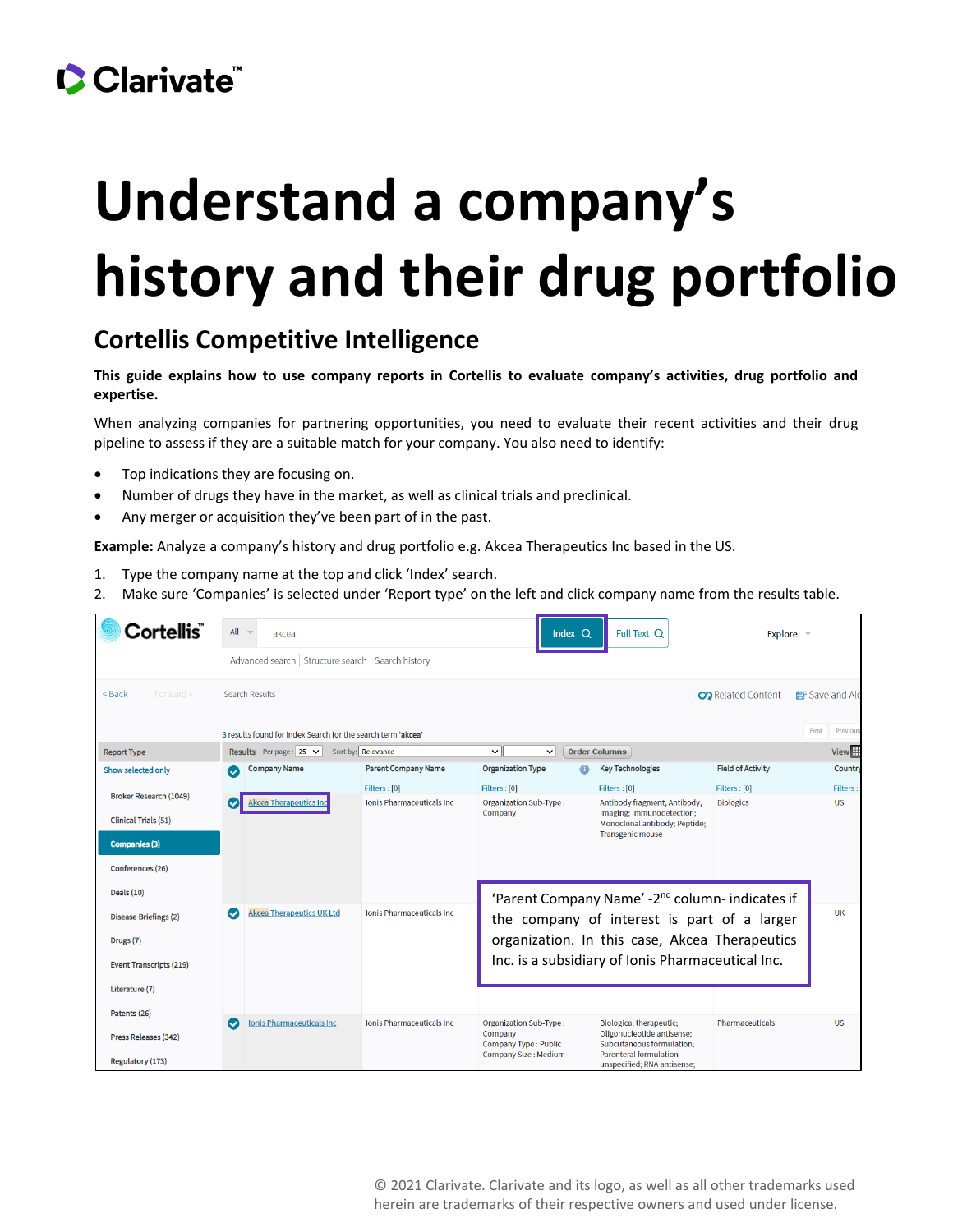## Clarivate

# **Understand a company's history and their drug portfolio**

#### **Cortellis Competitive Intelligence**

**This guide explains how to use company reports in Cortellis to evaluate company's activities, drug portfolio and expertise.**

When analyzing companies for partnering opportunities, you need to evaluate their recent activities and their drug pipeline to assess if they are a suitable match for your company. You also need to identify:

- Top indications they are focusing on.
- Number of drugs they have in the market, as well as clinical trials and preclinical.
- Any merger or acquisition they've been part of in the past.

**Example:** Analyze a company's history and drug portfolio e.g. Akcea Therapeutics Inc based in the US.

- 1. Type the company name at the top and click 'Index' search.
- 2. Make sure 'Companies' is selected under 'Report type' on the left and click company name from the results table.

| Cortellis ٌ                    | $All =$   | akcea                                                        |                                   | Index $Q$                                   | Full Text Q                                                                                | Explore $\equiv$          |                |                   |
|--------------------------------|-----------|--------------------------------------------------------------|-----------------------------------|---------------------------------------------|--------------------------------------------------------------------------------------------|---------------------------|----------------|-------------------|
|                                |           | Advanced search   Structure search   Search history          |                                   |                                             |                                                                                            |                           |                |                   |
| Forward ><br>$Back$            |           | Search Results                                               |                                   |                                             |                                                                                            | <b>CO</b> Related Content | 图 Save and Ale |                   |
|                                |           | 3 results found for index Search for the search term 'akcea' |                                   |                                             |                                                                                            |                           | First          | Previous          |
| <b>Report Type</b>             |           | Results Perpage: $25 \times$                                 | Sort by: Relevance                | $\check{ }$<br>$\check{ }$                  | <b>Order Columns</b>                                                                       |                           |                | View <sup>H</sup> |
| Show selected only             |           | <b>Company Name</b>                                          | <b>Parent Company Name</b>        | <b>Organization Type</b>                    | <b>Key Technologies</b>                                                                    | <b>Field of Activity</b>  |                | Country           |
| <b>Broker Research (1049)</b>  |           |                                                              | Filters: [0]                      | Filters : [0]                               | Filters : [0]                                                                              | Filters: [0]              |                | <b>Filters:</b>   |
| <b>Clinical Trials (51)</b>    |           | <b>Akcea Therapeutics Inc</b>                                | <b>Ionis Pharmaceuticals Inc.</b> | <b>Organization Sub-Type:</b><br>Company    | Antibody fragment; Antibody;<br>Imaging; Immunodetection;<br>Monoclonal antibody; Peptide; | <b>Biologics</b>          |                | <b>US</b>         |
| <b>Companies (3)</b>           |           |                                                              |                                   |                                             | <b>Transgenic mouse</b>                                                                    |                           |                |                   |
| Conferences (26)               |           |                                                              |                                   |                                             |                                                                                            |                           |                |                   |
| <b>Deals (10)</b>              |           |                                                              |                                   |                                             | 'Parent Company Name' -2 <sup>nd</sup> column- indicates if                                |                           |                |                   |
| <b>Disease Briefings (2)</b>   | Ø         | <b>Akcea Therapeutics UK Ltd</b>                             | <b>Ionis Pharmaceuticals Inc.</b> | the company of interest is part of a larger |                                                                                            |                           |                |                   |
| Drugs (7)                      |           |                                                              |                                   |                                             | organization. In this case, Akcea Therapeutics                                             |                           |                |                   |
| <b>Event Transcripts (219)</b> |           |                                                              |                                   |                                             | Inc. is a subsidiary of Ionis Pharmaceutical Inc.                                          |                           |                |                   |
| Literature (7)                 |           |                                                              |                                   |                                             |                                                                                            |                           |                |                   |
| Patents (26)                   | $\bullet$ | <b>Ionis Pharmaceuticals Inc</b>                             | <b>Ionis Pharmaceuticals Inc.</b> | <b>Organization Sub-Type:</b>               | <b>Biological therapeutic;</b>                                                             | <b>Pharmaceuticals</b>    |                | <b>US</b>         |
| Press Releases (342)           |           |                                                              |                                   | Company<br><b>Company Type: Public</b>      | Oligonucleotide antisense;<br>Subcutaneous formulation:<br><b>Parenteral formulation</b>   |                           |                |                   |
| Regulatory (173)               |           |                                                              |                                   | <b>Company Size: Medium</b>                 | unspecified; RNA antisense;                                                                |                           |                |                   |

© 2021 Clarivate. Clarivate and its logo, as well as all other trademarks used herein are trademarks of their respective owners and used under license.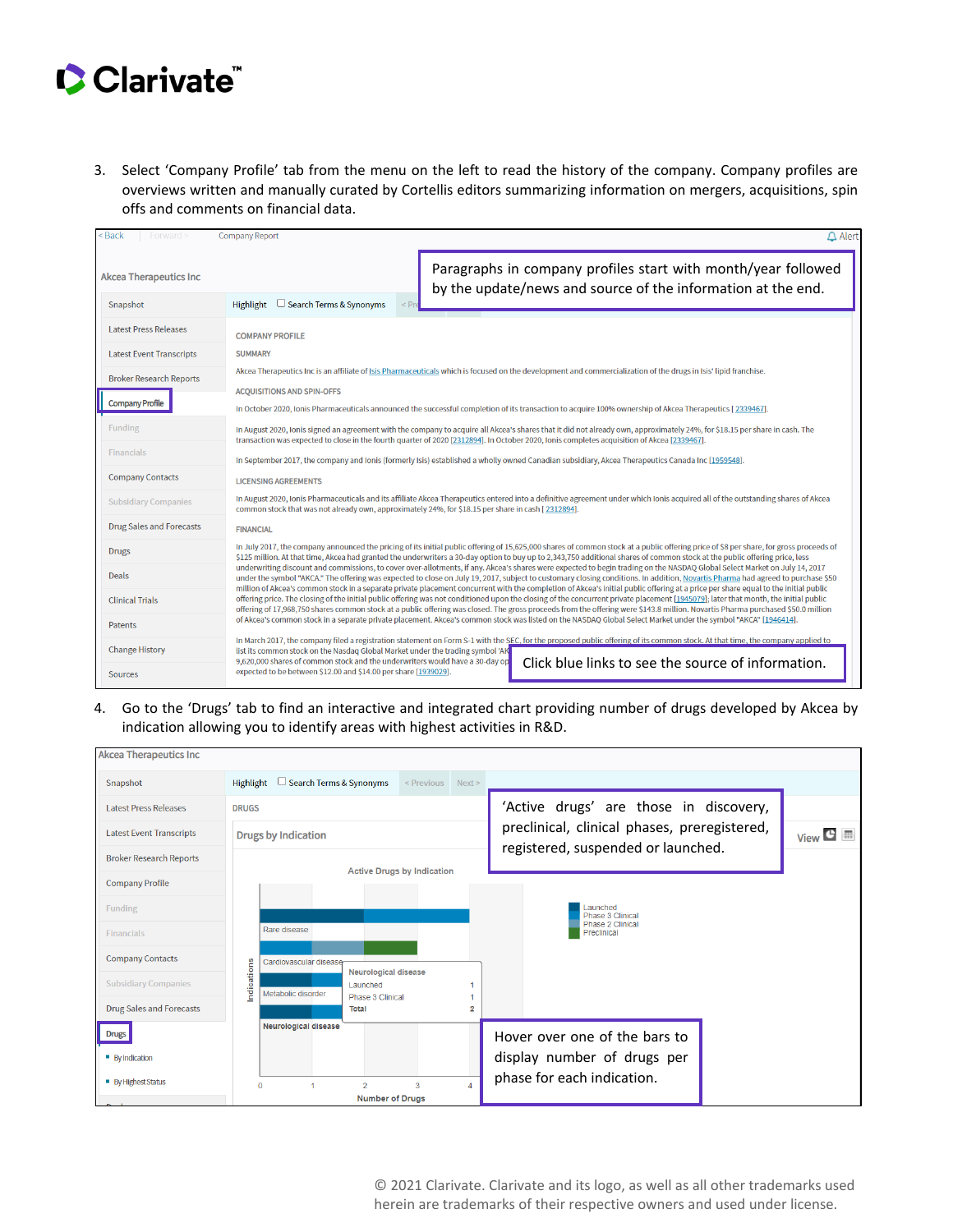## Clarivate

3. Select 'Company Profile' tab from the menu on the left to read the history of the company. Company profiles are overviews written and manually curated by Cortellis editors summarizing information on mergers, acquisitions, spin offs and comments on financial data.

| < Back<br>$-$ Forward $\geq$    | <b>Company Report</b><br>$\triangle$ Alert                                                                                                                                                                                                                                                                                                                                                                                                                                                                                                                                                                                                                                                                                                                                                                                                                                                                                                                                                                                                                                                      |  |  |  |  |  |
|---------------------------------|-------------------------------------------------------------------------------------------------------------------------------------------------------------------------------------------------------------------------------------------------------------------------------------------------------------------------------------------------------------------------------------------------------------------------------------------------------------------------------------------------------------------------------------------------------------------------------------------------------------------------------------------------------------------------------------------------------------------------------------------------------------------------------------------------------------------------------------------------------------------------------------------------------------------------------------------------------------------------------------------------------------------------------------------------------------------------------------------------|--|--|--|--|--|
| <b>Akcea Therapeutics Inc.</b>  | Paragraphs in company profiles start with month/year followed<br>by the update/news and source of the information at the end.                                                                                                                                                                                                                                                                                                                                                                                                                                                                                                                                                                                                                                                                                                                                                                                                                                                                                                                                                                   |  |  |  |  |  |
| Snapshot                        | $\Box$ Search Terms & Synonyms<br>Highlight                                                                                                                                                                                                                                                                                                                                                                                                                                                                                                                                                                                                                                                                                                                                                                                                                                                                                                                                                                                                                                                     |  |  |  |  |  |
| <b>Latest Press Releases</b>    | <b>COMPANY PROFILE</b>                                                                                                                                                                                                                                                                                                                                                                                                                                                                                                                                                                                                                                                                                                                                                                                                                                                                                                                                                                                                                                                                          |  |  |  |  |  |
| <b>Latest Event Transcripts</b> | <b>SUMMARY</b>                                                                                                                                                                                                                                                                                                                                                                                                                                                                                                                                                                                                                                                                                                                                                                                                                                                                                                                                                                                                                                                                                  |  |  |  |  |  |
| <b>Broker Research Reports</b>  | Akcea Therapeutics Inc is an affiliate of Isis Pharmaceuticals which is focused on the development and commercialization of the drugs in Isis' lipid franchise.                                                                                                                                                                                                                                                                                                                                                                                                                                                                                                                                                                                                                                                                                                                                                                                                                                                                                                                                 |  |  |  |  |  |
|                                 | <b>ACOUISITIONS AND SPIN-OFFS</b>                                                                                                                                                                                                                                                                                                                                                                                                                                                                                                                                                                                                                                                                                                                                                                                                                                                                                                                                                                                                                                                               |  |  |  |  |  |
| <b>Company Profile</b>          | In October 2020, Ionis Pharmaceuticals announced the successful completion of its transaction to acquire 100% ownership of Akcea Therapeutics [2339467].                                                                                                                                                                                                                                                                                                                                                                                                                                                                                                                                                                                                                                                                                                                                                                                                                                                                                                                                        |  |  |  |  |  |
| <b>Funding</b>                  | In August 2020, Ionis signed an agreement with the company to acquire all Akcea's shares that it did not already own, approximately 24%, for \$18.15 per share in cash. The<br>transaction was expected to close in the fourth quarter of 2020 [2312894]. In October 2020, Ionis completes acquisition of Akcea [2339467].                                                                                                                                                                                                                                                                                                                                                                                                                                                                                                                                                                                                                                                                                                                                                                      |  |  |  |  |  |
| <b>Financials</b>               | In September 2017, the company and Ionis (formerly Isis) established a wholly owned Canadian subsidiary, Akcea Therapeutics Canada Inc [1959548].                                                                                                                                                                                                                                                                                                                                                                                                                                                                                                                                                                                                                                                                                                                                                                                                                                                                                                                                               |  |  |  |  |  |
| <b>Company Contacts</b>         | <b>LICENSING AGREEMENTS</b>                                                                                                                                                                                                                                                                                                                                                                                                                                                                                                                                                                                                                                                                                                                                                                                                                                                                                                                                                                                                                                                                     |  |  |  |  |  |
| <b>Subsidiary Companies</b>     | In August 2020, Ionis Pharmaceuticals and its affiliate Akcea Therapeutics entered into a definitive agreement under which Ionis acquired all of the outstanding shares of Akcea<br>common stock that was not already own, approximately 24%, for \$18.15 per share in cash [2312894].                                                                                                                                                                                                                                                                                                                                                                                                                                                                                                                                                                                                                                                                                                                                                                                                          |  |  |  |  |  |
| <b>Drug Sales and Forecasts</b> | <b>FINANCIAL</b>                                                                                                                                                                                                                                                                                                                                                                                                                                                                                                                                                                                                                                                                                                                                                                                                                                                                                                                                                                                                                                                                                |  |  |  |  |  |
| <b>Drugs</b>                    | In July 2017, the company announced the pricing of its initial public offering of 15,625,000 shares of common stock at a public offering price of \$8 per share, for gross proceeds of<br>\$125 million. At that time, Akcea had granted the underwriters a 30-day option to buy up to 2,343,750 additional shares of common stock at the public offering price, less                                                                                                                                                                                                                                                                                                                                                                                                                                                                                                                                                                                                                                                                                                                           |  |  |  |  |  |
| Deals                           | underwriting discount and commissions, to cover over-allotments, if any. Akcea's shares were expected to begin trading on the NASDAO Global Select Market on July 14, 2017<br>under the symbol "AKCA." The offering was expected to close on July 19, 2017, subject to customary closing conditions. In addition, Novartis Pharma had agreed to purchase \$50<br>million of Akcea's common stock in a separate private placement concurrent with the completion of Akcea's initial public offering at a price per share equal to the initial public<br>offering price. The closing of the initial public offering was not conditioned upon the closing of the concurrent private placement [1945079]; later that month, the initial public<br>offering of 17,968,750 shares common stock at a public offering was closed. The gross proceeds from the offering were \$143.8 million. Novartis Pharma purchased \$50.0 million<br>of Akcea's common stock in a separate private placement. Akcea's common stock was listed on the NASDAQ Global Select Market under the symbol "AKCA" [1946414]. |  |  |  |  |  |
| <b>Clinical Trials</b>          |                                                                                                                                                                                                                                                                                                                                                                                                                                                                                                                                                                                                                                                                                                                                                                                                                                                                                                                                                                                                                                                                                                 |  |  |  |  |  |
| <b>Patents</b>                  |                                                                                                                                                                                                                                                                                                                                                                                                                                                                                                                                                                                                                                                                                                                                                                                                                                                                                                                                                                                                                                                                                                 |  |  |  |  |  |
| <b>Change History</b>           | In March 2017, the company filed a registration statement on Form S-1 with the SEC, for the proposed public offering of its common stock. At that time, the company applied to<br>list its common stock on the Nasdaq Global Market under the trading symbol 'AK                                                                                                                                                                                                                                                                                                                                                                                                                                                                                                                                                                                                                                                                                                                                                                                                                                |  |  |  |  |  |
| <b>Sources</b>                  | 9,620,000 shares of common stock and the underwriters would have a 30-day op<br>Click blue links to see the source of information.<br>expected to be between \$12.00 and \$14.00 per share [1939029].                                                                                                                                                                                                                                                                                                                                                                                                                                                                                                                                                                                                                                                                                                                                                                                                                                                                                           |  |  |  |  |  |

4. Go to the 'Drugs' tab to find an interactive and integrated chart providing number of drugs developed by Akcea by indication allowing you to identify areas with highest activities in R&D.

| <b>Akcea Therapeutics Inc</b>   |                                                                                                 |                                 |
|---------------------------------|-------------------------------------------------------------------------------------------------|---------------------------------|
| Snapshot                        | Search Terms & Synonyms<br>Highlight<br>└<br><previous next=""></previous>                      |                                 |
| <b>Latest Press Releases</b>    | 'Active drugs' are those in discovery,<br><b>DRUGS</b>                                          |                                 |
| <b>Latest Event Transcripts</b> | preclinical, clinical phases, preregistered,<br><b>Drugs by Indication</b>                      | $View$ $\bullet$ $\blacksquare$ |
| <b>Broker Research Reports</b>  | registered, suspended or launched.                                                              |                                 |
| <b>Company Profile</b>          | <b>Active Drugs by Indication</b>                                                               |                                 |
| <b>Funding</b>                  | Launched<br>Phase 3 Clinical                                                                    |                                 |
| <b>Financials</b>               | Phase 2 Clinical<br>Rare disease<br>Preclinical                                                 |                                 |
| <b>Company Contacts</b>         | Cardiovascular disease<br>Neurological disease                                                  |                                 |
| <b>Subsidiary Companies</b>     | Indications<br>Launched<br>Metabolic disorder<br>Phase 3 Clinical                               |                                 |
| <b>Drug Sales and Forecasts</b> | <b>Total</b><br>2                                                                               |                                 |
| <b>Drugs</b>                    | Neurological disease<br>Hover over one of the bars to                                           |                                 |
| <b>By Indication</b>            | display number of drugs per                                                                     |                                 |
| <b>By Highest Status</b>        | phase for each indication.<br>$\overline{2}$<br>$\overline{3}$<br>$\mathbf 0$<br>$\overline{A}$ |                                 |
| <b>Contract Contract</b>        | <b>Number of Drugs</b>                                                                          |                                 |

© 2021 Clarivate. Clarivate and its logo, as well as all other trademarks used herein are trademarks of their respective owners and used under license.